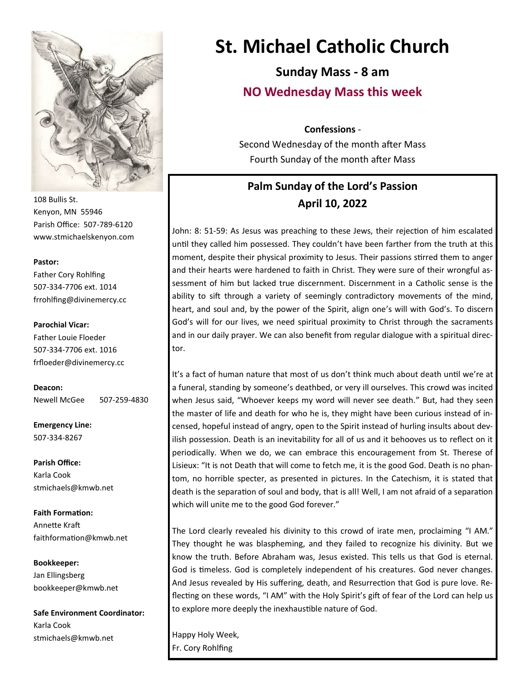

108 Bullis St. Kenyon, MN 55946 Parish Office: 507-789-6120 www.stmichaelskenyon.com

#### **Pastor:**

Father Cory Rohlfing 507-334-7706 ext. 1014 frrohlfing@divinemercy.cc

#### **Parochial Vicar:**

Father Louie Floeder 507-334-7706 ext. 1016 frfloeder@divinemercy.cc

**Deacon:**  Newell McGee 507-259-4830

**Emergency Line:** 507-334-8267

**Parish Office:**  Karla Cook stmichaels@kmwb.net

**Faith Formation:**  Annette Kraft faithformation@kmwb.net

**Bookkeeper:**  Jan Ellingsberg bookkeeper@kmwb.net

**Safe Environment Coordinator:** Karla Cook stmichaels@kmwb.net

# **St. Michael Catholic Church**

**Sunday Mass - 8 am NO Wednesday Mass this week** 

#### **Confessions** -

Second Wednesday of the month after Mass Fourth Sunday of the month after Mass

## **Palm Sunday of the Lord's Passion April 10, 2022**

John: 8: 51-59: As Jesus was preaching to these Jews, their rejection of him escalated until they called him possessed. They couldn't have been farther from the truth at this moment, despite their physical proximity to Jesus. Their passions stirred them to anger and their hearts were hardened to faith in Christ. They were sure of their wrongful assessment of him but lacked true discernment. Discernment in a Catholic sense is the ability to sift through a variety of seemingly contradictory movements of the mind, heart, and soul and, by the power of the Spirit, align one's will with God's. To discern God's will for our lives, we need spiritual proximity to Christ through the sacraments and in our daily prayer. We can also benefit from regular dialogue with a spiritual director.

It's a fact of human nature that most of us don't think much about death until we're at a funeral, standing by someone's deathbed, or very ill ourselves. This crowd was incited when Jesus said, "Whoever keeps my word will never see death." But, had they seen the master of life and death for who he is, they might have been curious instead of incensed, hopeful instead of angry, open to the Spirit instead of hurling insults about devilish possession. Death is an inevitability for all of us and it behooves us to reflect on it periodically. When we do, we can embrace this encouragement from St. Therese of Lisieux: "It is not Death that will come to fetch me, it is the good God. Death is no phantom, no horrible specter, as presented in pictures. In the Catechism, it is stated that death is the separation of soul and body, that is all! Well, I am not afraid of a separation which will unite me to the good God forever."

The Lord clearly revealed his divinity to this crowd of irate men, proclaiming "I AM." They thought he was blaspheming, and they failed to recognize his divinity. But we know the truth. Before Abraham was, Jesus existed. This tells us that God is eternal. God is timeless. God is completely independent of his creatures. God never changes. And Jesus revealed by His suffering, death, and Resurrection that God is pure love. Reflecting on these words, "I AM" with the Holy Spirit's gift of fear of the Lord can help us to explore more deeply the inexhaustible nature of God.

Happy Holy Week, Fr. Cory Rohlfing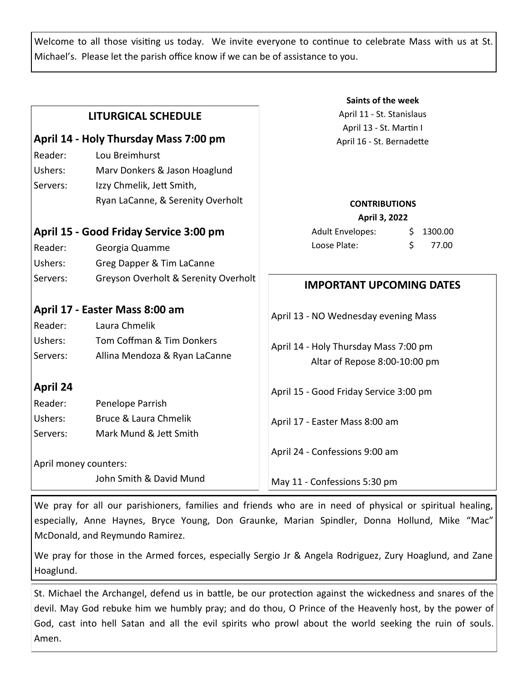Welcome to all those visiting us today. We invite everyone to continue to celebrate Mass with us at St. Michael's. Please let the parish office know if we can be of assistance to you.

|                                        |                                      | Saints of the week                        |
|----------------------------------------|--------------------------------------|-------------------------------------------|
| <b>LITURGICAL SCHEDULE</b>             |                                      | April 11 - St. Stanislaus                 |
|                                        |                                      | April 13 - St. Martin I                   |
| April 14 - Holy Thursday Mass 7:00 pm  |                                      | April 16 - St. Bernadette                 |
| Reader:                                | Lou Breimhurst                       |                                           |
| Ushers:                                | Marv Donkers & Jason Hoaglund        |                                           |
| Servers:                               | Izzy Chmelik, Jett Smith,            |                                           |
|                                        | Ryan LaCanne, & Serenity Overholt    | <b>CONTRIBUTIONS</b>                      |
|                                        |                                      | April 3, 2022                             |
| April 15 - Good Friday Service 3:00 pm |                                      | <b>Adult Envelopes:</b><br>1300.00<br>\$. |
| Reader:                                | Georgia Quamme                       | Loose Plate:<br>\$<br>77.00               |
| Ushers:                                | Greg Dapper & Tim LaCanne            |                                           |
| Servers:                               | Greyson Overholt & Serenity Overholt | <b>IMPORTANT UPCOMING DATES</b>           |
|                                        |                                      |                                           |
| April 17 - Easter Mass 8:00 am         |                                      | April 13 - NO Wednesday evening Mass      |
| Reader:                                | Laura Chmelik                        |                                           |
| Ushers:                                | Tom Coffman & Tim Donkers            | April 14 - Holy Thursday Mass 7:00 pm     |
| Servers:                               | Allina Mendoza & Ryan LaCanne        | Altar of Repose 8:00-10:00 pm             |
| <b>April 24</b>                        |                                      |                                           |
| Reader:                                | Penelope Parrish                     | April 15 - Good Friday Service 3:00 pm    |
| Ushers:                                | Bruce & Laura Chmelik                |                                           |
| Servers:                               | Mark Mund & Jett Smith               | April 17 - Easter Mass 8:00 am            |
|                                        |                                      | April 24 - Confessions 9:00 am            |
|                                        | April money counters:                |                                           |
|                                        | John Smith & David Mund              | May 11 - Confessions 5:30 pm              |

We pray for all our parishioners, families and friends who are in need of physical or spiritual healing, especially, Anne Haynes, Bryce Young, Don Graunke, Marian Spindler, Donna Hollund, Mike "Mac" McDonald, and Reymundo Ramirez.

We pray for those in the Armed forces, especially Sergio Jr & Angela Rodriguez, Zury Hoaglund, and Zane Hoaglund.

St. Michael the Archangel, defend us in battle, be our protection against the wickedness and snares of the devil. May God rebuke him we humbly pray; and do thou, O Prince of the Heavenly host, by the power of God, cast into hell Satan and all the evil spirits who prowl about the world seeking the ruin of souls. Amen.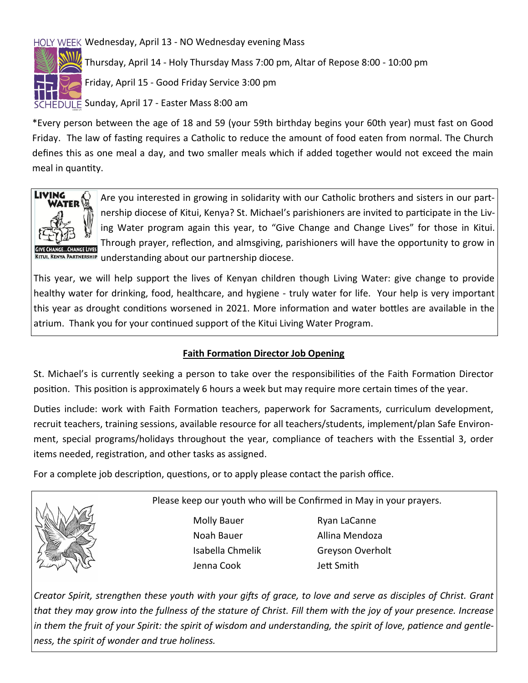## HOLY WEEK Wednesday, April 13 - NO Wednesday evening Mass



Thursday, April 14 - Holy Thursday Mass 7:00 pm, Altar of Repose 8:00 - 10:00 pm

Friday, April 15 - Good Friday Service 3:00 pm

SCHEDULE Sunday, April 17 - Easter Mass 8:00 am

\*Every person between the age of 18 and 59 (your 59th birthday begins your 60th year) must fast on Good Friday. The law of fasting requires a Catholic to reduce the amount of food eaten from normal. The Church defines this as one meal a day, and two smaller meals which if added together would not exceed the main meal in quantity.



Are you interested in growing in solidarity with our Catholic brothers and sisters in our partnership diocese of Kitui, Kenya? St. Michael's parishioners are invited to participate in the Living Water program again this year, to "Give Change and Change Lives" for those in Kitui. Through prayer, reflection, and almsgiving, parishioners will have the opportunity to grow in KITUI, KENYA PARTNERSHIP understanding about our partnership diocese.

This year, we will help support the lives of Kenyan children though Living Water: give change to provide healthy water for drinking, food, healthcare, and hygiene - truly water for life. Your help is very important this year as drought conditions worsened in 2021. More information and water bottles are available in the atrium. Thank you for your continued support of the Kitui Living Water Program.

#### **Faith Formation Director Job Opening**

St. Michael's is currently seeking a person to take over the responsibilities of the Faith Formation Director position. This position is approximately 6 hours a week but may require more certain times of the year.

Duties include: work with Faith Formation teachers, paperwork for Sacraments, curriculum development, recruit teachers, training sessions, available resource for all teachers/students, implement/plan Safe Environment, special programs/holidays throughout the year, compliance of teachers with the Essential 3, order items needed, registration, and other tasks as assigned.

For a complete job description, questions, or to apply please contact the parish office.



Please keep our youth who will be Confirmed in May in your prayers.

Molly Bauer Ryan LaCanne Noah Bauer **Allina Mendoza** Jenna Cook Jett Smith

Isabella Chmelik Greyson Overholt

*Creator Spirit, strengthen these youth with your gifts of grace, to love and serve as disciples of Christ. Grant that they may grow into the fullness of the stature of Christ. Fill them with the joy of your presence. Increase in them the fruit of your Spirit: the spirit of wisdom and understanding, the spirit of love, patience and gentleness, the spirit of wonder and true holiness.*